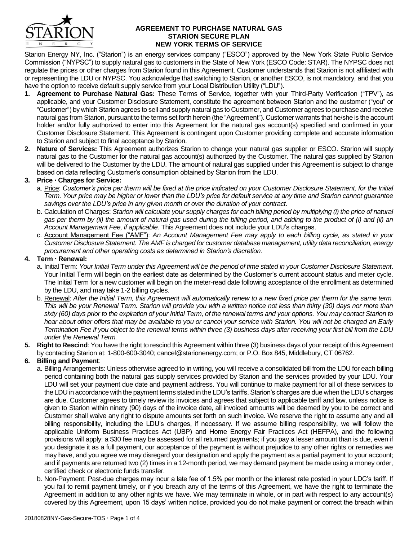

#### **AGREEMENT TO PURCHASE NATURAL GAS STARION SECURE PLAN NEW YORK TERMS OF SERVICE**

Starion Energy NY, Inc. ("Starion") is an energy services company ("ESCO") approved by the New York State Public Service Commission ("NYPSC") to supply natural gas to customers in the State of New York (ESCO Code: STAR). The NYPSC does not regulate the prices or other charges from Starion found in this Agreement. Customer understands that Starion is not affiliated with or representing the LDU or NYPSC. You acknowledge that switching to Starion, or another ESCO, is not mandatory, and that you have the option to receive default supply service from your Local Distribution Utility ("LDU").

- **1. Agreement to Purchase Natural Gas:** These Terms of Service, together with your Third-Party Verification ("TPV"), as applicable, and your Customer Disclosure Statement, constitute the agreement between Starion and the customer ("you" or "Customer") by which Starion agrees to sell and supply natural gas to Customer, and Customer agrees to purchase and receive natural gas from Starion, pursuant to the terms set forth herein (the "Agreement"). Customer warrants that he/she is the account holder and/or fully authorized to enter into this Agreement for the natural gas account(s) specified and confirmed in your Customer Disclosure Statement. This Agreement is contingent upon Customer providing complete and accurate information to Starion and subject to final acceptance by Starion.
- **2. Nature of Services:** This Agreement authorizes Starion to change your natural gas supplier or ESCO. Starion will supply natural gas to the Customer for the natural gas account(s) authorized by the Customer. The natural gas supplied by Starion will be delivered to the Customer by the LDU. The amount of natural gas supplied under this Agreement is subject to change based on data reflecting Customer's consumption obtained by Starion from the LDU.

# **3. Price Charges for Service:**

- a. Price: *Customer's price per therm will be fixed at the price indicated on your Customer Disclosure Statement, for the Initial Term. Your price may be higher or lower than the LDU's price for default service at any time and Starion cannot guarantee savings over the LDU's price in any given month or over the duration of your contract.*
- b. Calculation of Charges: *Starion will calculate your supply charges for each billing period by multiplying (i) the price of natural gas per therm by (ii) the amount of natural gas used during the billing period, and adding to the product of (i) and (ii) an Account Management Fee, if applicable.* This Agreement does not include your LDU's charges.
- c. Account Management Fee ("AMF"): *An Account Management Fee may apply to each billing cycle, as stated in your Customer Disclosure Statement. The AMF is charged for customer database management, utility data reconciliation, energy procurement and other operating costs as determined in Starion's discretion.*

# **4. Term Renewal:**

- a. Initial Term: *Your Initial Term under this Agreement will be the period of time stated in your Customer Disclosure Statement*. Your Initial Term will begin on the earliest date as determined by the Customer's current account status and meter cycle. The Initial Term for a new customer will begin on the meter-read date following acceptance of the enrollment as determined by the LDU, and may take 1-2 billing cycles.
- b. Renewal: *After the Initial Term, this Agreement will automatically renew to a new fixed price per therm for the same term. This will be your Renewal Term. Starion will provide you with a written notice not less than thirty (30) days nor more than sixty (60) days prior to the expiration of your Initial Term, of the renewal terms and your options. You may contact Starion to hear about other offers that may be available to you or cancel your service with Starion. You will not be charged an Early Termination Fee if you object to the renewal terms within three (3) business days after receiving your first bill from the LDU under the Renewal Term.*
- **5. Right to Rescind**: You have the right to rescind this Agreement within three (3) business days of your receipt of this Agreement by contacting Starion at: 1-800-600-3040; cancel@starionenergy.com; or P.O. Box 845, Middlebury, CT 06762.

# **6. Billing and Payment**:

- a. Billing Arrangements: Unless otherwise agreed to in writing, you will receive a consolidated bill from the LDU for each billing period containing both the natural gas supply services provided by Starion and the services provided by your LDU. Your LDU will set your payment due date and payment address. You will continue to make payment for all of these services to the LDU in accordance with the payment terms stated in the LDU's tariffs. Starion's charges are due when the LDU's charges are due. Customer agrees to timely review its invoices and agrees that subject to applicable tariff and law, unless notice is given to Starion within ninety (90) days of the invoice date, all invoiced amounts will be deemed by you to be correct and Customer shall waive any right to dispute amounts set forth on such invoice. We reserve the right to assume any and all billing responsibility, including the LDU's charges, if necessary. If we assume billing responsibility, we will follow the applicable Uniform Business Practices Act (UBP) and Home Energy Fair Practices Act (HEFPA), and the following provisions will apply: a \$30 fee may be assessed for all returned payments; if you pay a lesser amount than is due, even if you designate it as a full payment, our acceptance of the payment is without prejudice to any other rights or remedies we may have, and you agree we may disregard your designation and apply the payment as a partial payment to your account; and if payments are returned two (2) times in a 12-month period, we may demand payment be made using a money order, certified check or electronic funds transfer.
- b. Non-Payment: Past-due charges may incur a late fee of 1.5% per month or the interest rate posted in your LDC's tariff. If you fail to remit payment timely, or if you breach any of the terms of this Agreement, we have the right to terminate the Agreement in addition to any other rights we have. We may terminate in whole, or in part with respect to any account(s) covered by this Agreement, upon 15 days' written notice, provided you do not make payment or correct the breach within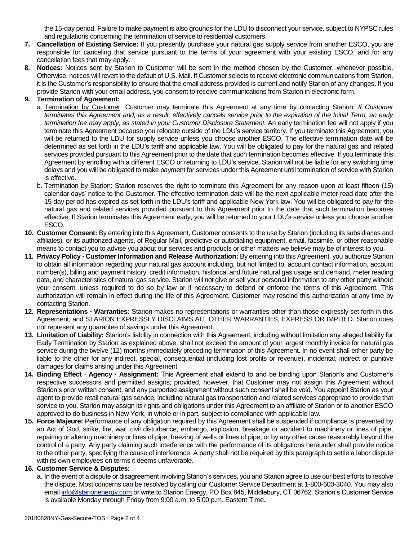the 15-day period. Failure to make payment is also grounds for the LDU to disconnect your service, subject to NYPSC rules and regulations concerning the termination of service to residential customers.

- **7. Cancellation of Existing Service:** If you presently purchase your natural gas supply service from another ESCO, you are responsible for canceling that service pursuant to the terms of your agreement with your existing ESCO, and for any cancellation fees that may apply.
- **8. Notices:** Notices sent by Starion to Customer will be sent in the method chosen by the Customer, whenever possible. Otherwise, notices will revert to the default of U.S. Mail. If Customer selects to receive electronic communications from Starion, it is the Customer's responsibility to ensure that the email address provided is current and notify Starion of any changes. If you provide Starion with your email address, you consent to receive communications from Starion in electronic form.

### **9. Termination of Agreement:**

- a. Termination by Customer: Customer may terminate this Agreement at any time by contacting Starion. *If Customer terminates this Agreement and, as a result, effectively cancels service prior to the expiration of the Initial Term, an early termination fee may apply, as stated in your Customer Disclosure Statement.* An early termination fee will not apply if you terminate this Agreement because you relocate outside of the LDU's service territory. If you terminate this Agreement, you will be returned to the LDU for supply service unless you choose another ESCO. The effective termination date will be determined as set forth in the LDU's tariff and applicable law. You will be obligated to pay for the natural gas and related services provided pursuant to this Agreement prior to the date that such termination becomes effective. If you terminate this Agreement by enrolling with a different ESCO or returning to LDU's service, Starion will not be liable for any switching time delays and you will be obligated to make payment for services under this Agreement until termination of service with Starion is effective.
- b. Termination by Starion: Starion reserves the right to terminate this Agreement for any reason upon at least fifteen (15) calendar days' notice to the Customer. The effective termination date will be the next applicable meter-read date after the 15-day period has expired as set forth in the LDU's tariff and applicable New York law. You will be obligated to pay for the natural gas and related services provided pursuant to this Agreement prior to the date that such termination becomes effective. If Starion terminates this Agreement early, you will be returned to your LDU's service unless you choose another ESCO.
- **10. Customer Consent:** By entering into this Agreement, Customer consents to the use by Starion (including its subsidiaries and affiliates), or its authorized agents, of Regular Mail, predictive or autodialing equipment, email, facsimile, or other reasonable means to contact you to advise you about our services and products or other matters we believe may be of interest to you.
- **11. Privacy Policy Customer Information and Release Authorization:** By entering into this Agreement, you authorize Starion to obtain all information regarding your natural gas account including, but not limited to, account contact information, account number(s), billing and payment history, credit information, historical and future natural gas usage and demand, meter reading data, and characteristics of natural gas service. Starion will not give or sell your personal information to any other party without your consent, unless required to do so by law or if necessary to defend or enforce the terms of this Agreement. This authorization will remain in effect during the life of this Agreement. Customer may rescind this authorization at any time by contacting Starion.
- **12. Representations Warranties:** Starion makes no representations or warranties other than those expressly set forth in this Agreement, and STARION EXPRESSLY DISCLAIMS ALL OTHER WARRANTIES, EXPRESS OR IMPLIED. Starion does not represent any guarantee of savings under this Agreement.
- **13. Limitation of Liability:** Starion's liability in connection with this Agreement, including without limitation any alleged liability for Early Termination by Starion as explained above, shall not exceed the amount of your largest monthly invoice for natural gas service during the twelve (12) months immediately preceding termination of this Agreement. In no event shall either party be liable to the other for any indirect, special, consequential (including lost profits or revenue), incidental, indirect or punitive damages for claims arising under this Agreement.
- **14. Binding Effect Agency Assignment:** This Agreement shall extend to and be binding upon Starion's and Customer's respective successors and permitted assigns; provided, however, that Customer may not assign this Agreement without Starion's prior written consent, and any purported assignment without such consent shall be void. You appoint Starion as your agent to provide retail natural gas service, including natural gas transportation and related services appropriate to provide that service to you. Starion may assign its rights and obligations under this Agreement to an affiliate of Starion or to another ESCO approved to do business in New York, in whole or in part, subject to compliance with applicable law.
- **15. Force Majeure:** Performance of any obligation required by this Agreement shall be suspended if compliance is prevented by an Act of God, strike, fire, war, civil disturbance, embargo, explosion, breakage or accident to machinery or lines of pipe; repairing or altering machinery or lines of pipe; freezing of wells or lines of pipe; or by any other cause reasonably beyond the control of a party. Any party claiming such interference with the performance of its obligations hereunder shall provide notice to the other party, specifying the cause of interference. A party shall not be required by this paragraph to settle a labor dispute with its own employees on terms it deems unfavorable.

#### **16. Customer Service & Disputes:**

a. In the event of a dispute or disagreement involving Starion's services, you and Starion agree to use our best efforts to resolve the dispute. Most concerns can be resolved by calling our Customer Service Department at 1-800-600-3040. You may also email [info@starionenergy.com](mailto:info@starionenergy.com) or write to Starion Energy, PO Box 845, Middlebury, CT 06762. Starion's Customer Service is available Monday through Friday from 9:00 a.m. to 5:00 p.m. Eastern Time.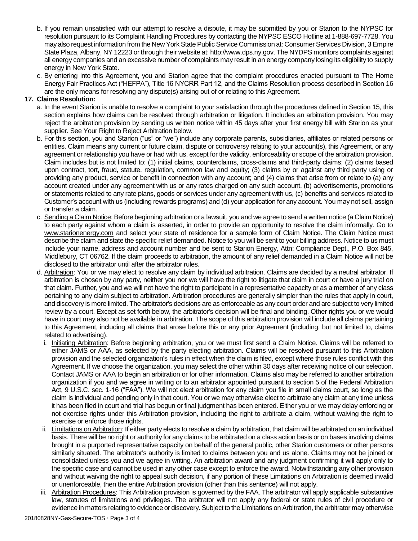- b. If you remain unsatisfied with our attempt to resolve a dispute, it may be submitted by you or Starion to the NYPSC for resolution pursuant to its Complaint Handling Procedures by contacting the NYPSC ESCO Hotline at 1-888-697-7728. You may also request information from the New York State Public Service Commission at: Consumer Services Division, 3 Empire State Plaza, Albany, NY 12223 or through their website at: http://www.dps.ny.gov. The NYDPS monitors complaints against all energy companies and an excessive number of complaints may result in an energy company losing its eligibility to supply energy in New York State.
- c. By entering into this Agreement, you and Starion agree that the complaint procedures enacted pursuant to The Home Energy Fair Practices Act ("HEFPA"), Title 16 NYCRR Part 12, and the Claims Resolution process described in Section 16 are the only means for resolving any dispute(s) arising out of or relating to this Agreement.

#### **17. Claims Resolution:**

- a. In the event Starion is unable to resolve a complaint to your satisfaction through the procedures defined in Section 15, this section explains how claims can be resolved through arbitration or litigation. It includes an arbitration provision. You may reject the arbitration provision by sending us written notice within 45 days after your first energy bill with Starion as your supplier. See Your Right to Reject Arbitration below.
- b. For this section, you and Starion ("us" or "we") include any corporate parents, subsidiaries, affiliates or related persons or entities. Claim means any current or future claim, dispute or controversy relating to your account(s), this Agreement, or any agreement or relationship you have or had with us, except for the validity, enforceability or scope of the arbitration provision. Claim includes but is not limited to: (1) initial claims, counterclaims, cross-claims and third-party claims; (2) claims based upon contract, tort, fraud, statute, regulation, common law and equity; (3) claims by or against any third party using or providing any product, service or benefit in connection with any account; and (4) claims that arise from or relate to (a) any account created under any agreement with us or any rates charged on any such account, (b) advertisements, promotions or statements related to any rate plans, goods or services under any agreement with us, (c) benefits and services related to Customer's account with us (including rewards programs) and (d) your application for any account. You may not sell, assign or transfer a claim.
- c. Sending a Claim Notice: Before beginning arbitration or a lawsuit, you and we agree to send a written notice (a Claim Notice) to each party against whom a claim is asserted, in order to provide an opportunity to resolve the claim informally. Go to www.starionenergy.com and select your state of residence for a sample form of Claim Notice. The Claim Notice must describe the claim and state the specific relief demanded. Notice to you will be sent to your billing address. Notice to us must include your name, address and account number and be sent to Starion Energy, Attn: Compliance Dept., P.O. Box 845, Middlebury, CT 06762. If the claim proceeds to arbitration, the amount of any relief demanded in a Claim Notice will not be disclosed to the arbitrator until after the arbitrator rules.
- d. Arbitration: You or we may elect to resolve any claim by individual arbitration. Claims are decided by a neutral arbitrator. If arbitration is chosen by any party, neither you nor we will have the right to litigate that claim in court or have a jury trial on that claim. Further, you and we will not have the right to participate in a representative capacity or as a member of any class pertaining to any claim subject to arbitration. Arbitration procedures are generally simpler than the rules that apply in court, and discovery is more limited. The arbitrator's decisions are as enforceable as any court order and are subject to very limited review by a court. Except as set forth below, the arbitrator's decision will be final and binding. Other rights you or we would have in court may also not be available in arbitration. The scope of this arbitration provision will include all claims pertaining to this Agreement, including all claims that arose before this or any prior Agreement (including, but not limited to, claims related to advertising).
	- i. Initiating Arbitration: Before beginning arbitration, you or we must first send a Claim Notice. Claims will be referred to either JAMS or AAA, as selected by the party electing arbitration. Claims will be resolved pursuant to this Arbitration provision and the selected organization's rules in effect when the claim is filed, except where those rules conflict with this Agreement. If we choose the organization, you may select the other within 30 days after receiving notice of our selection. Contact JAMS or AAA to begin an arbitration or for other information. Claims also may be referred to another arbitration organization if you and we agree in writing or to an arbitrator appointed pursuant to section 5 of the Federal Arbitration Act, 9 U.S.C. sec. 1-16 ("FAA"). We will not elect arbitration for any claim you file in small claims court, so long as the claim is individual and pending only in that court. You or we may otherwise elect to arbitrate any claim at any time unless it has been filed in court and trial has begun or final judgment has been entered. Either you or we may delay enforcing or not exercise rights under this Arbitration provision, including the right to arbitrate a claim, without waiving the right to exercise or enforce those rights.
	- ii. Limitations on Arbitration: If either party elects to resolve a claim by arbitration, that claim will be arbitrated on an individual basis. There will be no right or authority for any claims to be arbitrated on a class action basis or on bases involving claims brought in a purported representative capacity on behalf of the general public, other Starion customers or other persons similarly situated. The arbitrator's authority is limited to claims between you and us alone. Claims may not be joined or consolidated unless you and we agree in writing. An arbitration award and any judgment confirming it will apply only to the specific case and cannot be used in any other case except to enforce the award. Notwithstanding any other provision and without waiving the right to appeal such decision, if any portion of these Limitations on Arbitration is deemed invalid or unenforceable, then the entire Arbitration provision (other than this sentence) will not apply.
- iii. Arbitration Procedures: This Arbitration provision is governed by the FAA. The arbitrator will apply applicable substantive law, statutes of limitations and privileges. The arbitrator will not apply any federal or state rules of civil procedure or evidence in matters relating to evidence or discovery. Subject to the Limitations on Arbitration, the arbitrator may otherwise